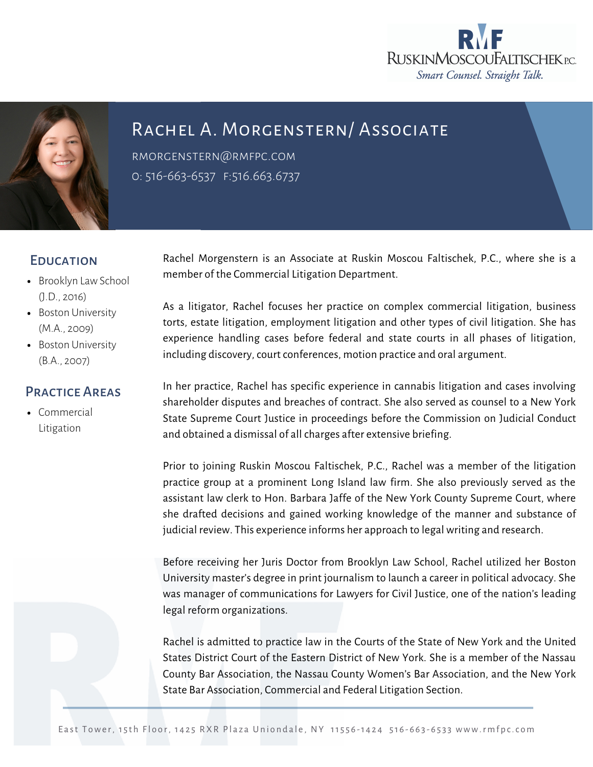



## RACHEL A. MORGENSTERN/ ASSOCIATE

[rmorgenstern@rmfpc.com](mailto:rmorgenstern@rmfpc.com) 0: 516-663-6537 f:516.663.6737

## **EDUCATION**

- Brooklyn Law School (J.D., 2016)
- Boston University (M.A., 2009)
- Boston University (B.A., 2007)

## Practice Areas

[Commercial](https://rmfpc.com/practice-areas/cybersecurity/) Litigation

Rachel Morgenstern is an Associate at Ruskin Moscou Faltischek, P.C., where she is a member of the Commercial Litigation Department.

As a litigator, Rachel focuses her practice on complex commercial litigation, business torts, estate litigation, employment litigation and other types of civil litigation. She has experience handling cases before federal and state courts in all phases of litigation, including discovery, court conferences, motion practice and oral argument.

In her practice, Rachel has specific experience in cannabis litigation and cases involving shareholder disputes and breaches of contract. She also served as counsel to a New York State Supreme Court Justice in proceedings before the Commission on Judicial Conduct and obtained a dismissal of all charges after extensive briefing.

Prior to joining Ruskin Moscou Faltischek, P.C., Rachel was a member of the litigation practice group at a prominent Long Island law firm. She also previously served as the assistant law clerk to Hon. Barbara Jaffe of the New York County Supreme Court, where she drafted decisions and gained working knowledge of the manner and substance of judicial review. This experience informs her approach to legal writing and research.

Before receiving her Juris Doctor from Brooklyn Law School, Rachel utilized her Boston University master's degree in print journalism to launch a career in political advocacy. She was manager of communications for Lawyers for Civil Justice, one of the nation's leading legal reform organizations.

Rachel is admitted to practice law in the Courts of the State of New York and the United States District Court of the Eastern District of New York. She is a member of the Nassau County Bar Association, the Nassau County Women's Bar Association, and the New York State Bar Association, Commercial and Federal Litigation Section.